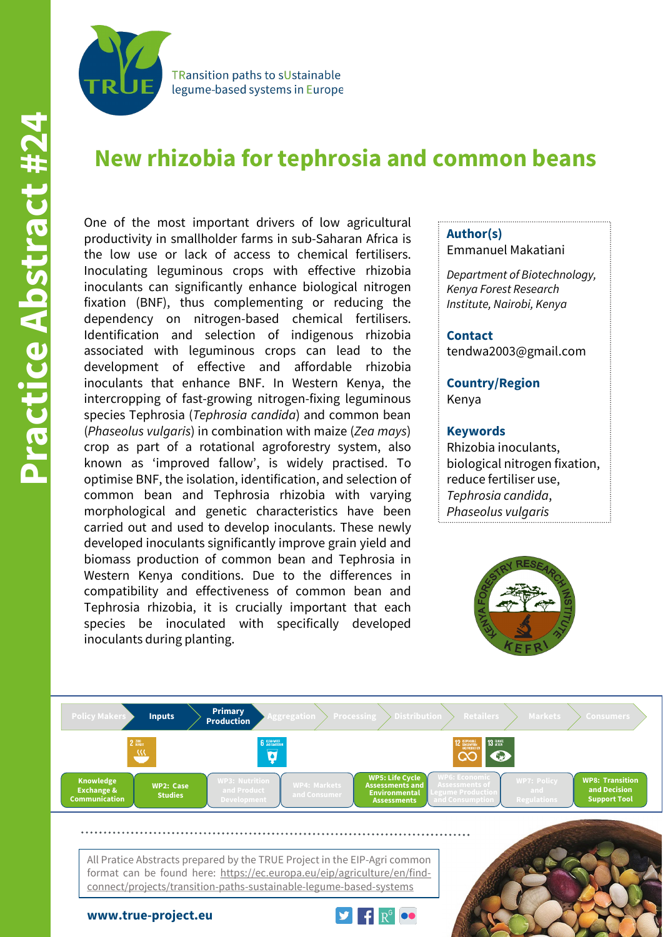

**TRansition paths to sUstainable** legume-based systems in Europe

# **New rhizobia for tephrosia and common beans**

One of the most important drivers of low agricultural productivity in smallholder farms in sub-Saharan Africa is the low use or lack of access to chemical fertilisers. Inoculating leguminous crops with effective rhizobia inoculants can significantly enhance biological nitrogen fixation (BNF), thus complementing or reducing the dependency on nitrogen-based chemical fertilisers. Identification and selection of indigenous rhizobia associated with leguminous crops can lead to the development of effective and affordable rhizobia inoculants that enhance BNF. In Western Kenya, the intercropping of fast-growing nitrogen-fixing leguminous species Tephrosia (*Tephrosia candida*) and common bean (*Phaseolus vulgaris*) in combination with maize (*Zea mays*) crop as part of a rotational agroforestry system, also known as 'improved fallow', is widely practised. To optimise BNF, the isolation, identification, and selection of common bean and Tephrosia rhizobia with varying morphological and genetic characteristics have been carried out and used to develop inoculants. These newly developed inoculants significantly improve grain yield and biomass production of common bean and Tephrosia in Western Kenya conditions. Due to the differences in compatibility and effectiveness of common bean and Tephrosia rhizobia, it is crucially important that each species be inoculated with specifically developed inoculants during planting.

### **Author(s)** Emmanuel Makatiani

*Department of Biotechnology, Kenya Forest Research Institute, Nairobi, Kenya*

#### **Contact**

tendwa2003@gmail.com

**Country/Region** Kenya

#### **Keywords**

Rhizobia inoculants, biological nitrogen fixation, reduce fertiliser use, *Tephrosia candida*, *Phaseolus vulgaris*